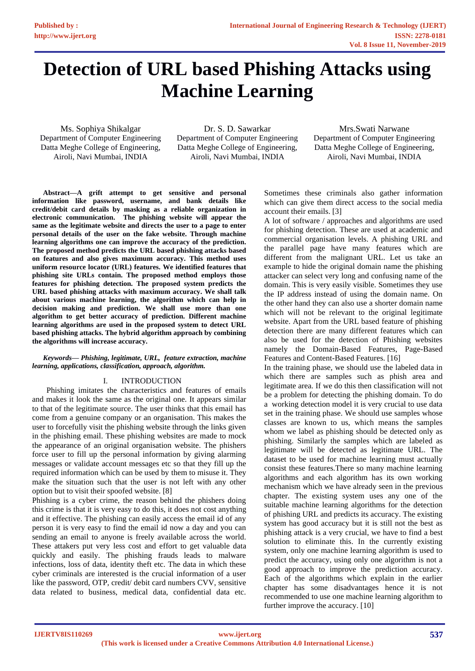# **Detection of URL based Phishing Attacks using Machine Learning**

Ms. Sophiya Shikalgar Department of Computer Engineering Datta Meghe College of Engineering, Airoli, Navi Mumbai, INDIA

Dr. S. D. Sawarkar Department of Computer Engineering Datta Meghe College of Engineering, Airoli, Navi Mumbai, INDIA

Mrs.Swati Narwane Department of Computer Engineering Datta Meghe College of Engineering, Airoli, Navi Mumbai, INDIA

**Abstract—A grift attempt to get sensitive and personal information like password, username, and bank details like credit/debit card details by masking as a reliable organization in electronic communication. The phishing website will appear the same as the legitimate website and directs the user to a page to enter personal details of the user on the fake website. Through machine learning algorithms one can improve the accuracy of the prediction. The proposed method predicts the URL based phishing attacks based on features and also gives maximum accuracy. This method uses uniform resource locator (URL) features. We identified features that phishing site URLs contain. The proposed method employs those features for phishing detection. The proposed system predicts the URL based phishing attacks with maximum accuracy. We shall talk about various machine learning, the algorithm which can help in decision making and prediction. We shall use more than one algorithm to get better accuracy of prediction. Different machine learning algorithms are used in the proposed system to detect URL based phishing attacks. The hybrid algorithm approach by combining the algorithms will increase accuracy.**

## *Keywords— Phishing, legitimate, URL, feature extraction, machine learning, applications, classification, approach, algorithm.*

# I. INTRODUCTION

Phishing imitates the characteristics and features of emails and makes it look the same as the original one. It appears similar to that of the legitimate source. The user thinks that this email has come from a genuine company or an organisation. This makes the user to forcefully visit the phishing website through the links given in the phishing email. These phishing websites are made to mock the appearance of an original organisation website. The phishers force user to fill up the personal information by giving alarming messages or validate account messages etc so that they fill up the required information which can be used by them to misuse it. They make the situation such that the user is not left with any other option but to visit their spoofed website. [8]

Phishing is a cyber crime, the reason behind the phishers doing this crime is that it is very easy to do this, it does not cost anything and it effective. The phishing can easily access the email id of any person it is very easy to find the email id now a day and you can sending an email to anyone is freely available across the world. These attakers put very less cost and effort to get valuable data quickly and easily. The phishing frauds leads to malware infections, loss of data, identity theft etc. The data in which these cyber criminals are interested is the crucial information of a user like the password, OTP, credit/ debit card numbers CVV, sensitive data related to business, medical data, confidential data etc.

Sometimes these criminals also gather information which can give them direct access to the social media account their emails. [3]

A lot of software / approaches and algorithms are used for phishing detection. These are used at academic and commercial organisation levels. A phishing URL and the parallel page have many features which are different from the malignant URL. Let us take an example to hide the original domain name the phishing attacker can select very long and confusing name of the domain. This is very easily visible. Sometimes they use the IP address instead of using the domain name. On the other hand they can also use a shorter domain name which will not be relevant to the original legitimate website. Apart from the URL based feature of phishing detection there are many different features which can also be used for the detection of Phishing websites namely the Domain-Based Features, Page-Based Features and Content-Based Features. [16]

In the training phase, we should use the labeled data in which there are samples such as phish area and legitimate area. If we do this then classification will not be a problem for detecting the phishing domain. To do a working detection model it is very crucial to use data set in the training phase. We should use samples whose classes are known to us, which means the samples whom we label as phishing should be detected only as phishing. Similarly the samples which are labeled as legitimate will be detected as legitimate URL. The dataset to be used for machine learning must actually consist these features.There so many machine learning algorithms and each algorithm has its own working mechanism which we have already seen in the previous chapter. The existing system uses any one of the suitable machine learning algorithms for the detection of phishing URL and predicts its accuracy. The existing system has good accuracy but it is still not the best as phishing attack is a very crucial, we have to find a best solution to eliminate this. In the currently existing system, only one machine learning algorithm is used to predict the accuracy, using only one algorithm is not a good approach to improve the prediction accuracy. Each of the algorithms which explain in the earlier chapter has some disadvantages hence it is not recommended to use one machine learning algorithm to further improve the accuracy. [10]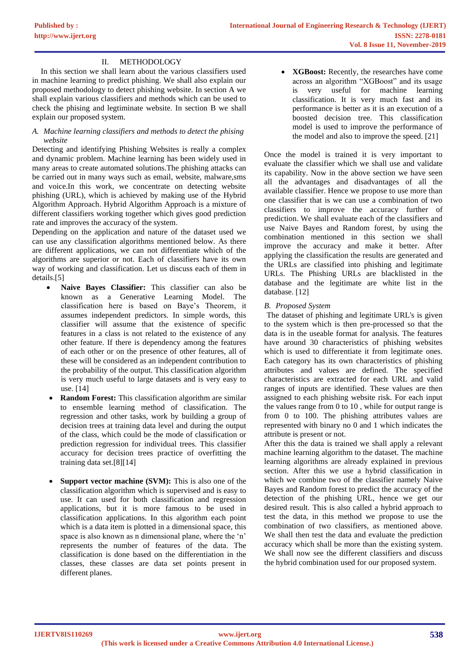# II. METHODOLOGY

In this section we shall learn about the various classifiers used in machine learning to predict phishing. We shall also explain our proposed methodology to detect phishing website. In section A we shall explain various classifiers and methods which can be used to check the phising and legtiminate website. In section B we shall explain our proposed system.

## *A. Machine learning classifiers and methods to detect the phising website*

Detecting and identifying Phishing Websites is really a complex and dynamic problem. Machine learning has been widely used in many areas to create automated solutions.The phishing attacks can be carried out in many ways such as email, website, malware,sms and voice.In this work, we concentrate on detecting website phishing (URL), which is achieved by making use of the Hybrid Algorithm Approach. Hybrid Algorithm Approach is a mixture of different classifiers working together which gives good prediction rate and improves the accuracy of the system.

Depending on the application and nature of the dataset used we can use any classification algorithms mentioned below. As there are different applications, we can not differentiate which of the algorithms are superior or not. Each of classifiers have its own way of working and classification. Let us discuss each of them in details.[5]

- **Naive Bayes Classifier:** This classifier can also be known as a Generative Learning Model. The classification here is based on Baye's Theorem, it assumes independent predictors. In simple words, this classifier will assume that the existence of specific features in a class is not related to the existence of any other feature. If there is dependency among the features of each other or on the presence of other features, all of these will be considered as an independent contribution to the probability of the output. This classification algorithm is very much useful to large datasets and is very easy to use. [14]
- **Random Forest:** This classification algorithm are similar to ensemble learning method of classification. The regression and other tasks, work by building a group of decision trees at training data level and during the output of the class, which could be the mode of classification or prediction regression for individual trees. This classifier accuracy for decision trees practice of overfitting the training data set.[8][14]
- **Support vector machine (SVM):** This is also one of the classification algorithm which is supervised and is easy to use. It can used for both classification and regression applications, but it is more famous to be used in classification applications. In this algorithm each point which is a data item is plotted in a dimensional space, this space is also known as n dimensional plane, where the 'n' represents the number of features of the data. The classification is done based on the differentiation in the classes, these classes are data set points present in different planes.

• **XGBoost:** Recently, the researches have come across an algorithm "XGBoost" and its usage is very useful for machine learning classification. It is very much fast and its performance is better as it is an execution of a boosted decision tree. This classification model is used to improve the performance of the model and also to improve the speed. [21]

Once the model is trained it is very important to evaluate the classifier which we shall use and validate its capability. Now in the above section we have seen all the advantages and disadvantages of all the available classifier. Hence we propose to use more than one classifier that is we can use a combination of two classifiers to improve the accuracy further of prediction. We shall evaluate each of the classifiers and use Naive Bayes and Random forest, by using the combination mentioned in this section we shall improve the accuracy and make it better. After applying the classification the results are generated and the URLs are classified into phishing and legitimate URLs. The Phishing URLs are blacklisted in the database and the legitimate are white list in the database. [12]

# *B. Proposed System*

The dataset of phishing and legitimate URL's is given to the system which is then pre-processed so that the data is in the useable format for analysis. The features have around 30 characteristics of phishing websites which is used to differentiate it from legitimate ones. Each category has its own characteristics of phishing attributes and values are defined. The specified characteristics are extracted for each URL and valid ranges of inputs are identified. These values are then assigned to each phishing website risk. For each input the values range from 0 to 10 , while for output range is from 0 to 100. The phishing attributes values are represented with binary no 0 and 1 which indicates the attribute is present or not.

After this the data is trained we shall apply a relevant machine learning algorithm to the dataset. The machine learning algorithms are already explained in previous section. After this we use a hybrid classification in which we combine two of the classifier namely Naive Bayes and Random forest to predict the accuracy of the detection of the phishing URL, hence we get our desired result. This is also called a hybrid approach to test the data, in this method we propose to use the combination of two classifiers, as mentioned above. We shall then test the data and evaluate the prediction accuracy which shall be more than the existing system. We shall now see the different classifiers and discuss the hybrid combination used for our proposed system.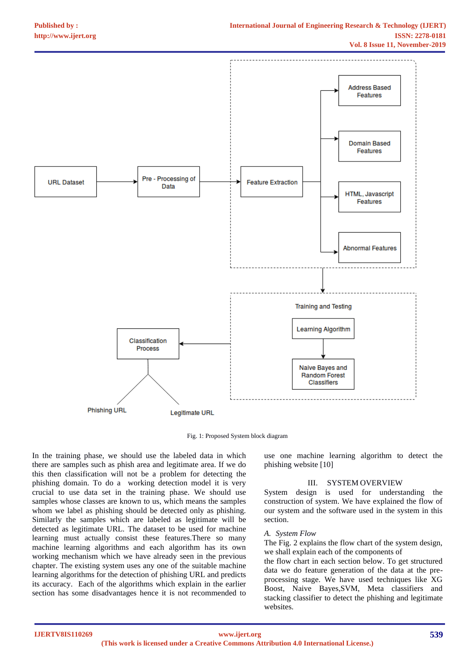

Fig. 1: Proposed System block diagram

In the training phase, we should use the labeled data in which there are samples such as phish area and legitimate area. If we do this then classification will not be a problem for detecting the phishing domain. To do a working detection model it is very crucial to use data set in the training phase. We should use samples whose classes are known to us, which means the samples whom we label as phishing should be detected only as phishing. Similarly the samples which are labeled as legitimate will be detected as legitimate URL. The dataset to be used for machine learning must actually consist these features.There so many machine learning algorithms and each algorithm has its own working mechanism which we have already seen in the previous chapter. The existing system uses any one of the suitable machine learning algorithms for the detection of phishing URL and predicts its accuracy. Each of the algorithms which explain in the earlier section has some disadvantages hence it is not recommended to

use one machine learning algorithm to detect the phishing website [10]

# III. SYSTEM OVERVIEW

System design is used for understanding the construction of system. We have explained the flow of our system and the software used in the system in this section.

#### *A. System Flow*

The Fig. 2 explains the flow chart of the system design, we shall explain each of the components of

the flow chart in each section below. To get structured data we do feature generation of the data at the preprocessing stage. We have used techniques like XG Boost, Naive Bayes,SVM, Meta classifiers and stacking classifier to detect the phishing and legitimate websites.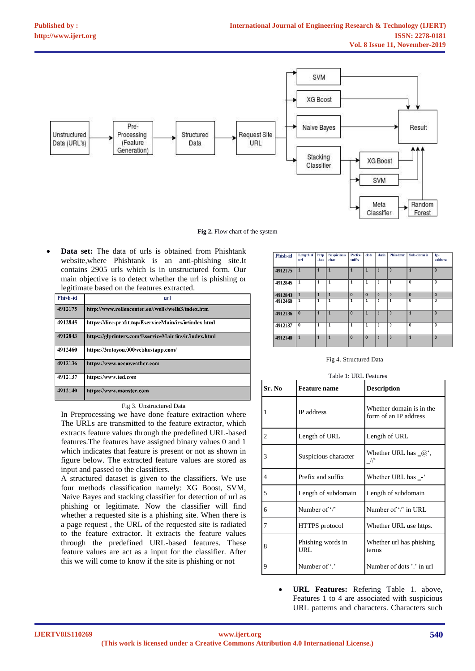

**Fig 2.** Flow chart of the system

• **Data set:** The data of urls is obtained from Phishtank website,where Phishtank is an anti-phishing site.It contains 2905 urls which is in unstructured form. Our main objective is to detect whether the url is phishing or legitimate based on the features extracted.

| <b>Phish-id</b> | url                                                    |
|-----------------|--------------------------------------------------------|
| 4912175         | http://www.rollencenter.eu//wells/wells3/index.htm     |
| 4912845         | https://dice-profit.top/EserviceMain/irs/ir/index.html |
| 4912843         | https://glprinters.com/EserviceMain/irs/ir/index.html  |
| 4912460         | https://3mtoyou.000webhostapp.com/                     |
| 4912136         | https://www.accuweather.com                            |
| 4912137         | https://www.ted.com                                    |
| 4912140         | https://www.monster.com                                |

|  | Fig 3. Unstructured Data |  |
|--|--------------------------|--|
|  |                          |  |

In Preprocessing we have done feature extraction where The URLs are transmitted to the feature extractor, which extracts feature values through the predefined URL-based features.The features have assigned binary values 0 and 1 which indicates that feature is present or not as shown in figure below. The extracted feature values are stored as input and passed to the classifiers.

A structured dataset is given to the classifiers. We use four methods classification namely: XG Boost, SVM, Naive Bayes and stacking classifier for detection of url as phishing or legitimate. Now the classifier will find whether a requested site is a phishing site. When there is a page request , the URL of the requested site is radiated to the feature extractor. It extracts the feature values through the predefined URL-based features. These feature values are act as a input for the classifier. After this we will come to know if the site is phishing or not

| Phish-id | Length of<br>url | http<br>-has | <b>Suspicious-</b><br>char | Prefix-<br>suffix | dots           | slash        | Phis-term      | Sub-domain     | Ip-<br>address |
|----------|------------------|--------------|----------------------------|-------------------|----------------|--------------|----------------|----------------|----------------|
| 4912175  | 1                | 1            | 1                          | 1                 | 1              | 1            | $\overline{0}$ | 1              | $\mathbf{0}$   |
| 4912845  | 1                | 1            |                            | 1                 |                | 1            | 1              | 0              | 0              |
| 4912843  | $\mathbf{1}$     | 1            | $\mathbf{1}$               | $\Omega$          | $\mathbf{0}$   | $\bf{0}$     | $\bf{0}$       | $\Omega$       | $\bf{0}$       |
| 4912460  | 1                | 1            | 1                          | 1                 |                | 1            | 1              | 0              | 0              |
| 4912136  | $\mathbf{0}$     | 1            | $\mathbf{1}$               | $\mathbf{0}$      | 1              | $\mathbf{1}$ | $\overline{0}$ | 1              | $\mathbf{0}$   |
| 4912137  | $\mathbf 0$      | 1            | 1                          | 1                 | 1              | 1            | 0              | 0              | 0              |
| 4912140  | 1                | $\mathbf{1}$ | $\overline{1}$             | $\overline{0}$    | $\overline{0}$ | 1            | $\overline{0}$ | $\overline{1}$ | $\overline{0}$ |

Fig 4. Structured Data

|  | Table 1: URL Features |
|--|-----------------------|

| Sr. No         | <b>Feature name</b>       | <b>Description</b>                                |
|----------------|---------------------------|---------------------------------------------------|
| 1              | <b>IP</b> address         | Whether domain is in the<br>form of an IP address |
| $\overline{c}$ | Length of URL             | Length of URL                                     |
| 3              | Suspicious character      | Whether URL has $\alpha$ ,<br>$\frac{1}{2}$       |
| 4              | Prefix and suffix         | Whether URL has -                                 |
| 5              | Length of subdomain       | Length of subdomain                               |
| 6              | Number of $\gamma$        | Number of '/' in URL                              |
| 7              | HTTPS protocol            | Whether URL use https.                            |
| 8              | Phishing words in<br>URL. | Whether url has phishing<br>terms                 |
| 9              | Number of '.'             | Number of dots'.' in url                          |

• **URL Features:** Refering Table 1. above, Features 1 to 4 are associated with suspicious URL patterns and characters. Characters such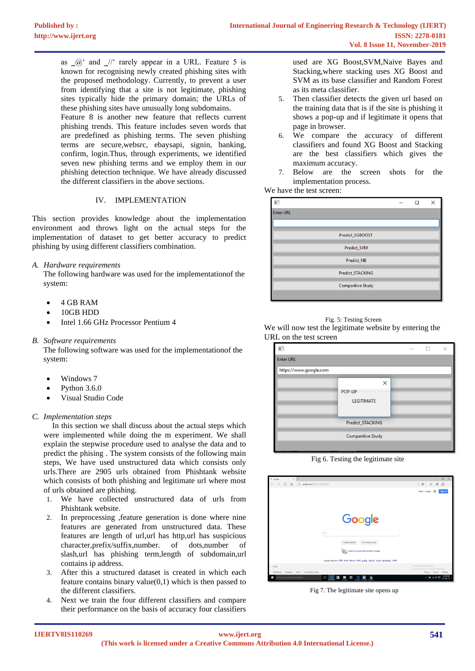as  $\alpha$  and  $\alpha$  rarely appear in a URL. Feature 5 is known for recognising newly created phishing sites with the proposed methodology. Currently, to prevent a user from identifying that a site is not legitimate, phishing sites typically hide the primary domain; the URLs of these phishing sites have unusually long subdomains. Feature 8 is another new feature that reflects current phishing trends. This feature includes seven words that are predefined as phishing terms. The seven phishing terms are secure,websrc, ebaysapi, signin, banking, confirm, login.Thus, through experiments, we identified seven new phishing terms and we employ them in our phishing detection technique. We have already discussed the different classifiers in the above sections.

# IV. IMPLEMENTATION

This section provides knowledge about the implementation environment and throws light on the actual steps for the implementation of dataset to get better accuracy to predict phishing by using different classifiers combination.

# *A. Hardware requirements*

The following hardware was used for the implementationof the system:

- $\bullet$  4 GB RAM
- 10GB HDD
- Intel 1.66 GHz Processor Pentium 4
- *B. Software requirements*

The following software was used for the implementationof the system:

- Windows 7
- Python 3.6.0
- Visual Studio Code
- *C. Implementation steps*

 In this section we shall discuss about the actual steps which were implemented while doing the m experiment. We shall explain the stepwise procedure used to analyse the data and to predict the phising . The system consists of the following main steps, We have used unstructured data which consists only urls.There are 2905 urls obtained from Phishtank website which consists of both phishing and legitimate url where most of urls obtained are phishing.

- 1. We have collected unstructured data of urls from Phishtank website.
- 2. In preprocessing ,feature generation is done where nine features are generated from unstructured data. These features are length of url,url has http,url has suspicious character,prefix/suffix,number. of dots,number of slash,url has phishing term,length of subdomain,url contains ip address.
- 3. After this a structured dataset is created in which each feature contains binary value $(0,1)$  which is then passed to the different classifiers.
- 4. Next we train the four different classifiers and compare their performance on the basis of accuracy four classifiers

used are XG Boost,SVM,Naive Bayes and Stacking,where stacking uses XG Boost and SVM as its base classifier and Random Forest as its meta classifier.

- 5. Then classifier detects the given url based on the training data that is if the site is phishing it shows a pop-up and if legitimate it opens that page in browser.
- 6. We compare the accuracy of different classifiers and found XG Boost and Stacking are the best classifiers which gives the maximum accuracy.
- 7. Below are the screen shots for the implementation process.

# We have the test screen:

| п                |                          |  | $\times$ |
|------------------|--------------------------|--|----------|
| <b>Enter URL</b> |                          |  |          |
|                  |                          |  |          |
|                  | Predict_XGBOOST          |  |          |
|                  | Predict_SVM              |  |          |
|                  | Predict_NB               |  |          |
|                  | Predict_STACKING         |  |          |
|                  | <b>Comparitive Study</b> |  |          |
|                  |                          |  |          |



We will now test the legitimate website by entering the URL on the test screen



Fig 6. Testing the legitimate site

| $\times$ +<br>G Google                                        |                                                                                | $\alpha$<br>×                                          |
|---------------------------------------------------------------|--------------------------------------------------------------------------------|--------------------------------------------------------|
| $\circ$<br>$\rightarrow$<br>A<br>$\hat{\omega}$<br>÷          | google.com/#spf=15725@hid103                                                   | □ ☆ 三<br>図<br>$\triangle$<br>1111                      |
|                                                               |                                                                                | 田<br>Sign in<br>Grial Images                           |
|                                                               | Google                                                                         |                                                        |
|                                                               | $Q_1$                                                                          |                                                        |
|                                                               | Google Search<br>I'm Feeling Lucky                                             |                                                        |
|                                                               | Vote for your favourite Doodle 4 Google                                        |                                                        |
|                                                               | Google offered in Bridt worn Brouts wordt wulde introduction assumption shreet |                                                        |
| India                                                         |                                                                                | Activate Windows<br>Co to Seltings to actuate Windows. |
| About:<br>How Search works<br>Advertising.<br><b>Business</b> |                                                                                | <b>Pylyacy</b><br>Terms<br>Settlings                   |
| Search the web and Windows<br>Ŧ                               | $\circ$<br>Θ<br>ю<br>뽜<br>W<br>۵<br>$\sim$                                     | 12:50 PM<br>△■ 40回<br>01-Nov-19                        |

Fig 7. The legitimate site opens up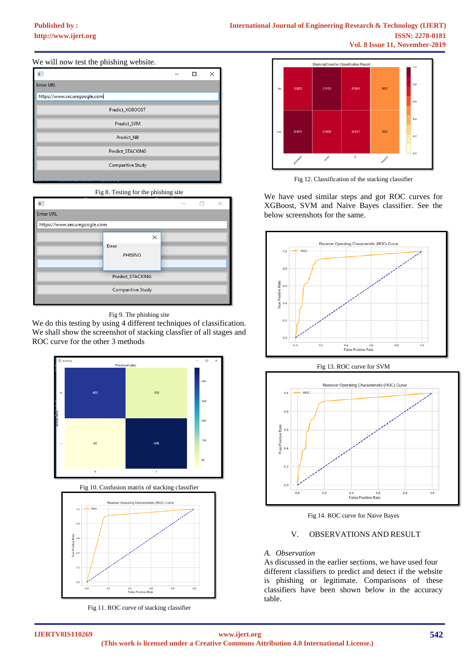## We will now test the phishing website.

| <b>Enter URL</b>             |  |  |
|------------------------------|--|--|
| https://www.securegoogle.com |  |  |
| Predict_XGBOOST              |  |  |
| Predict_SVM                  |  |  |
| <b>Predict NB</b>            |  |  |
| Predict_STACKING             |  |  |
| <b>Comparitive Study</b>     |  |  |
|                              |  |  |



|                              |                          |          | $\frac{1}{2} \left( \frac{1}{2} \right) \left( \frac{1}{2} \right) \left( \frac{1}{2} \right) \left( \frac{1}{2} \right) \left( \frac{1}{2} \right) \left( \frac{1}{2} \right) \left( \frac{1}{2} \right) \left( \frac{1}{2} \right) \left( \frac{1}{2} \right) \left( \frac{1}{2} \right) \left( \frac{1}{2} \right) \left( \frac{1}{2} \right) \left( \frac{1}{2} \right) \left( \frac{1}{2} \right) \left( \frac{1}{2} \right) \left( \frac{1}{2} \right) \left( \frac$ |  |
|------------------------------|--------------------------|----------|----------------------------------------------------------------------------------------------------------------------------------------------------------------------------------------------------------------------------------------------------------------------------------------------------------------------------------------------------------------------------------------------------------------------------------------------------------------------------|--|
| <b>Enter URL</b>             |                          |          |                                                                                                                                                                                                                                                                                                                                                                                                                                                                            |  |
| https://www.securegoogle.com |                          |          |                                                                                                                                                                                                                                                                                                                                                                                                                                                                            |  |
|                              |                          | $\times$ |                                                                                                                                                                                                                                                                                                                                                                                                                                                                            |  |
|                              | Error<br><b>PHISING</b>  |          |                                                                                                                                                                                                                                                                                                                                                                                                                                                                            |  |
|                              | Predict_STACKING         |          |                                                                                                                                                                                                                                                                                                                                                                                                                                                                            |  |
|                              | <b>Comparitive Study</b> |          |                                                                                                                                                                                                                                                                                                                                                                                                                                                                            |  |

## Fig 9. The phishing site

We do this testing by using 4 different techniques of classification. We shall show the screenshot of stacking classfier of all stages and ROC curve for the other 3 methods





Fig 11. ROC curve of stacking classifier



Fig 12. Classification of the stacking classifier

We have used similar steps and got ROC curves for XGBoost, SVM and Naive Bayes classifier. See the below screenshots for the same.







Fig 14. ROC curve for Naive Bayes

## V. OBSERVATIONS AND RESULT

## *A. Observation*

As discussed in the earlier sections, we have used four different classifiers to predict and detect if the website is phishing or legitimate. Comparisons of these classifiers have been shown below in the accuracy table.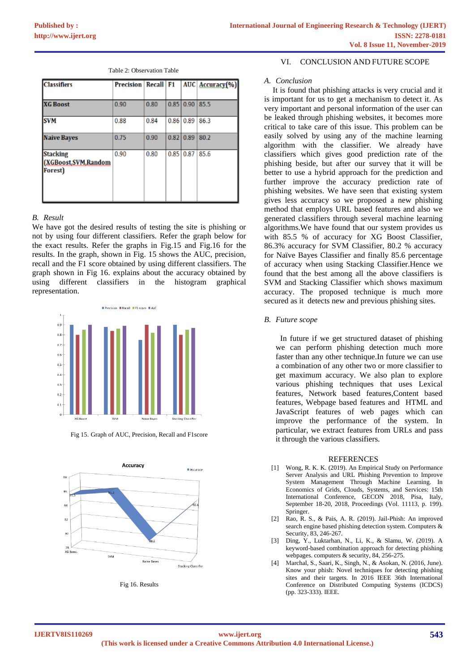| <b>Classifiers</b>                                          | <b>Precision Recall F1</b> |      |           |                  | AUC Accuracy(%) |
|-------------------------------------------------------------|----------------------------|------|-----------|------------------|-----------------|
| <b>XG Boost</b>                                             | 0.90                       | 0.80 |           | $0.85$ 0.90      | 85.5            |
| <b>SVM</b>                                                  | 0.88                       | 0.84 |           | 0.86 0.89        | 86.3            |
| <b>Naive Bayes</b>                                          | 0.75                       | 0.90 | 0.82 0.89 |                  | 80.2            |
| <b>Stacking</b><br>(XGBoost, SVM, Random<br><b>Forest</b> ) | 0.90                       | 0.80 |           | $0.85 \mid 0.87$ | 85.6            |

Table 2: Observation Table

# *B. Result*

We have got the desired results of testing the site is phishing or not by using four different classifiers. Refer the graph below for the exact results. Refer the graphs in Fig.15 and Fig.16 for the results. In the graph, shown in Fig. 15 shows the AUC, precision, recall and the F1 score obtained by using different classifiers. The graph shown in Fig 16. explains about the accuracy obtained by using different classifiers in the histogram graphical representation.



Fig 15. Graph of AUC, Precision, Recall and F1score



Fig 16. Results

## VI. CONCLUSION AND FUTURE SCOPE

### *A. Conclusion*

It is found that phishing attacks is very crucial and it is important for us to get a mechanism to detect it. As very important and personal information of the user can be leaked through phishing websites, it becomes more critical to take care of this issue. This problem can be easily solved by using any of the machine learning algorithm with the classifier. We already have classifiers which gives good prediction rate of the phishing beside, but after our survey that it will be better to use a hybrid approach for the prediction and further improve the accuracy prediction rate of phishing websites. We have seen that existing system gives less accuracy so we proposed a new phishing method that employs URL based features and also we generated classifiers through several machine learning algorithms.We have found that our system provides us with 85.5 % of accuracy for XG Boost Classifier, 86.3% accuracy for SVM Classifier, 80.2 % accuracy for Naïve Bayes Classifier and finally 85.6 percentage of accuracy when using Stacking Classifier.Hence we found that the best among all the above classifiers is SVM and Stacking Classifier which shows maximum accuracy. The proposed technique is much more secured as it detects new and previous phishing sites.

## *B. Future scope*

In future if we get structured dataset of phishing we can perform phishing detection much more faster than any other technique.In future we can use a combination of any other two or more classifier to get maximum accuracy. We also plan to explore various phishing techniques that uses Lexical features, Network based features,Content based features, Webpage based features and HTML and JavaScript features of web pages which can improve the performance of the system. In particular, we extract features from URLs and pass it through the various classifiers.

## **REFERENCES**

- [1] Wong, R. K. K. (2019). An Empirical Study on Performance Server Analysis and URL Phishing Prevention to Improve System Management Through Machine Learning. In Economics of Grids, Clouds, Systems, and Services: 15th International Conference, GECON 2018, Pisa, Italy, September 18-20, 2018, Proceedings (Vol. 11113, p. 199). Springer.
- [2] Rao, R. S., & Pais, A. R. (2019). Jail-Phish: An improved search engine based phishing detection system. Computers & Security, 83, 246-267.
- [3] Ding, Y., Luktarhan, N., Li, K., & Slamu, W. (2019). A keyword-based combination approach for detecting phishing webpages. computers & security, 84, 256-275.
- [4] Marchal, S., Saari, K., Singh, N., & Asokan, N. (2016, June). Know your phish: Novel techniques for detecting phishing sites and their targets. In 2016 IEEE 36th International Conference on Distributed Computing Systems (ICDCS) (pp. 323-333). IEEE.